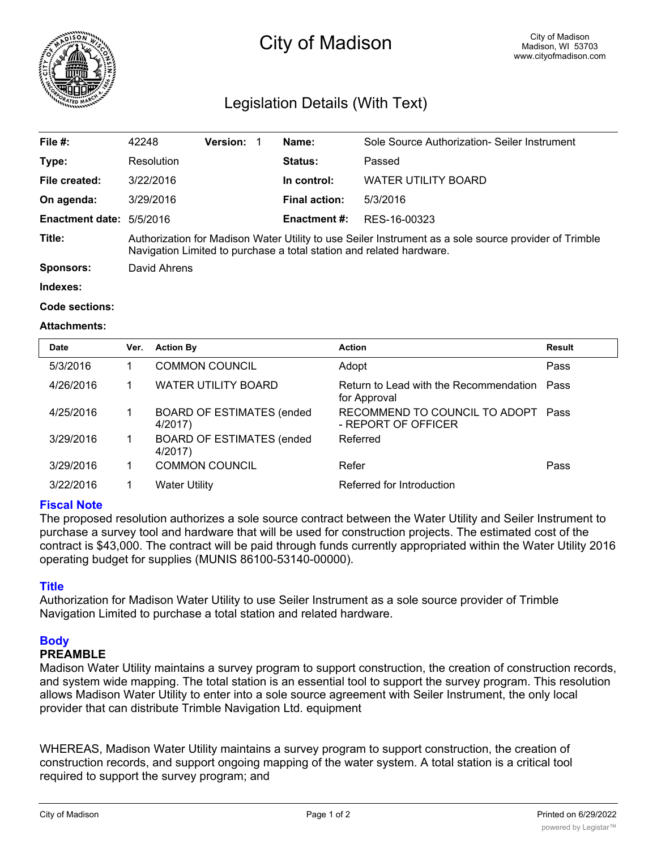

# City of Madison

# Legislation Details (With Text)

| File $#$ :                      | 42248                                                                                                                                                                         | <b>Version:</b> |  | Name:                | Sole Source Authorization- Seiler Instrument |  |
|---------------------------------|-------------------------------------------------------------------------------------------------------------------------------------------------------------------------------|-----------------|--|----------------------|----------------------------------------------|--|
| Type:                           | Resolution                                                                                                                                                                    |                 |  | Status:              | Passed                                       |  |
| File created:                   | 3/22/2016                                                                                                                                                                     |                 |  | In control:          | WATER UTILITY BOARD                          |  |
| On agenda:                      | 3/29/2016                                                                                                                                                                     |                 |  | <b>Final action:</b> | 5/3/2016                                     |  |
| <b>Enactment date: 5/5/2016</b> |                                                                                                                                                                               |                 |  | <b>Enactment #:</b>  | RES-16-00323                                 |  |
| Title:                          | Authorization for Madison Water Utility to use Seiler Instrument as a sole source provider of Trimble<br>Navigation Limited to purchase a total station and related hardware. |                 |  |                      |                                              |  |
| <b>Sponsors:</b>                | David Ahrens                                                                                                                                                                  |                 |  |                      |                                              |  |
| Indexes:                        |                                                                                                                                                                               |                 |  |                      |                                              |  |

#### **Code sections:**

#### **Attachments:**

| <b>Date</b> | Ver. | <b>Action By</b>                            | <b>Action</b>                                               | <b>Result</b> |
|-------------|------|---------------------------------------------|-------------------------------------------------------------|---------------|
| 5/3/2016    |      | <b>COMMON COUNCIL</b>                       | Adopt                                                       | Pass          |
| 4/26/2016   |      | <b>WATER UTILITY BOARD</b>                  | Return to Lead with the Recommendation Pass<br>for Approval |               |
| 4/25/2016   |      | <b>BOARD OF ESTIMATES (ended</b><br>4/2017) | RECOMMEND TO COUNCIL TO ADOPT Pass<br>- REPORT OF OFFICER   |               |
| 3/29/2016   |      | <b>BOARD OF ESTIMATES (ended</b><br>4/2017) | Referred                                                    |               |
| 3/29/2016   |      | <b>COMMON COUNCIL</b>                       | Refer                                                       | Pass          |
| 3/22/2016   |      | <b>Water Utility</b>                        | Referred for Introduction                                   |               |

## **Fiscal Note**

The proposed resolution authorizes a sole source contract between the Water Utility and Seiler Instrument to purchase a survey tool and hardware that will be used for construction projects. The estimated cost of the contract is \$43,000. The contract will be paid through funds currently appropriated within the Water Utility 2016 operating budget for supplies (MUNIS 86100-53140-00000).

## **Title**

Authorization for Madison Water Utility to use Seiler Instrument as a sole source provider of Trimble Navigation Limited to purchase a total station and related hardware.

## **Body**

# **PREAMBLE**

Madison Water Utility maintains a survey program to support construction, the creation of construction records, and system wide mapping. The total station is an essential tool to support the survey program. This resolution allows Madison Water Utility to enter into a sole source agreement with Seiler Instrument, the only local provider that can distribute Trimble Navigation Ltd. equipment

WHEREAS, Madison Water Utility maintains a survey program to support construction, the creation of construction records, and support ongoing mapping of the water system. A total station is a critical tool required to support the survey program; and